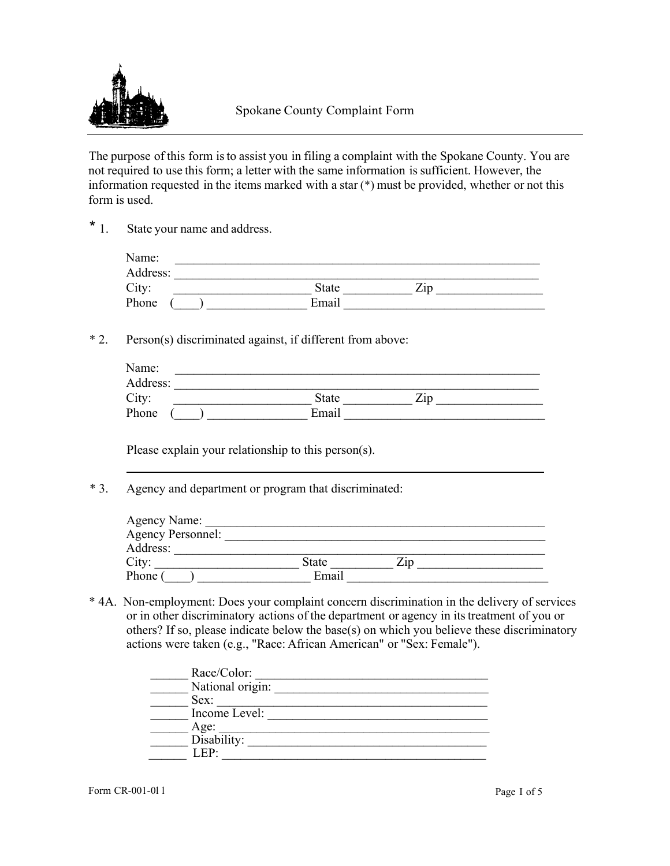

The purpose of this form is to assist you in filing a complaint with the Spokane County. You are not required to use this form; a letter with the same information is sufficient. However, the information requested in the items marked with a star (\*) must be provided, whether or not this form is used.

\* 1. State your name and address.

| Name:    |              |                   |
|----------|--------------|-------------------|
| Address: |              |                   |
| City:    | <b>State</b> | –.<br>$\angle 1D$ |
| Phone    | Email        |                   |

\* 2. Person(s) discriminated against, if different from above:

| Name:    |              |             |  |
|----------|--------------|-------------|--|
| Address: |              |             |  |
| City:    | <b>State</b> | $\angle 1D$ |  |
| Phone    | Email        |             |  |

Please explain your relationship to this person(s).

\* 3. Agency and department or program that discriminated:

| Agency Name:             |              |       |  |
|--------------------------|--------------|-------|--|
| <b>Agency Personnel:</b> |              |       |  |
| Address:                 |              |       |  |
| City:                    | <b>State</b> | 7.1 D |  |
| Phone (                  | Email        |       |  |
|                          |              |       |  |

\* 4A. Non-employment: Does your complaint concern discrimination in the delivery of services or in other discriminatory actions of the department or agency in its treatment of you or others? If so, please indicate below the base(s) on which you believe these discriminatory actions were taken (e.g., "Race: African American" or "Sex: Female").

| Race/Color:      |
|------------------|
| National origin: |
| Sex:             |
| Income Level:    |
| Age:             |
| Disability:      |
|                  |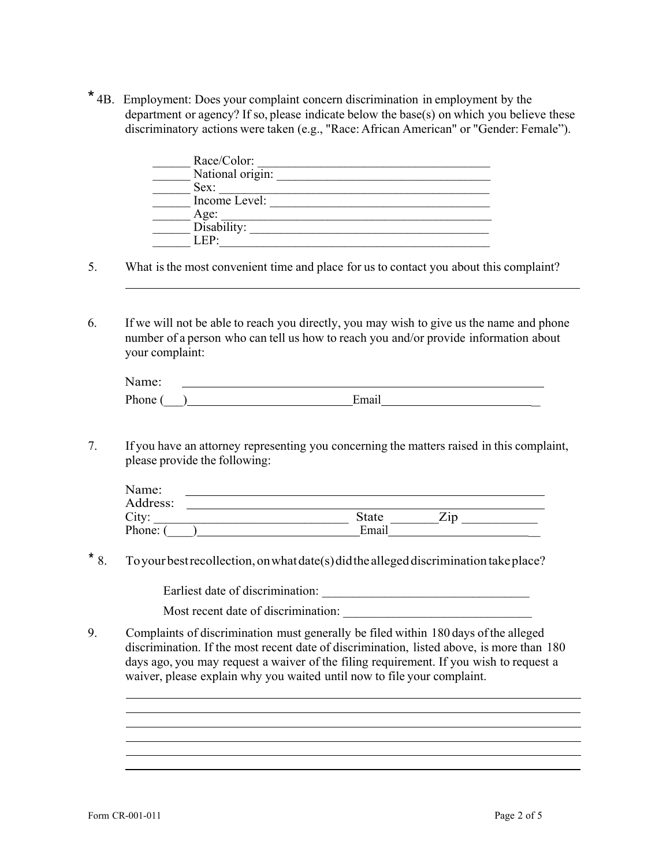\* 4B. Employment: Does your complaint concern discrimination in employment by the department or agency? If so, please indicate below the base(s) on which you believe these discriminatory actions were taken (e.g., "Race: African American" or "Gender: Female").

| Race/Color:      |
|------------------|
| National origin: |
| Sex:             |
| Income Level:    |
| Age:             |
| Disability:      |
|                  |

5. What is the most convenient time and place for us to contact you about this complaint?

6. If we will not be able to reach you directly, you may wish to give us the name and phone number of a person who can tell us how to reach you and/or provide information about your complaint:

| $N$ ε<br>ime: |  |
|---------------|--|
| Phone         |  |

7. If you have an attorney representing you concerning the matters raised in this complaint, please provide the following:

| Name:    |              |     |  |
|----------|--------------|-----|--|
| Address: |              |     |  |
| City:    | <b>State</b> | Zip |  |
| Phone:   | Email        |     |  |

\* 8. To your best recollection, on what date(s) did the alleged discrimination take place?

Earliest date of discrimination: \_\_\_\_\_\_\_\_\_\_\_\_\_\_\_\_\_\_\_\_\_\_\_\_\_\_\_\_\_\_\_\_\_

Most recent date of discrimination:

9. Complaints of discrimination must generally be filed within 180 days of the alleged discrimination. If the most recent date of discrimination, listed above, is more than 180 days ago, you may request a waiver of the filing requirement. If you wish to request a waiver, please explain why you waited until now to file your complaint.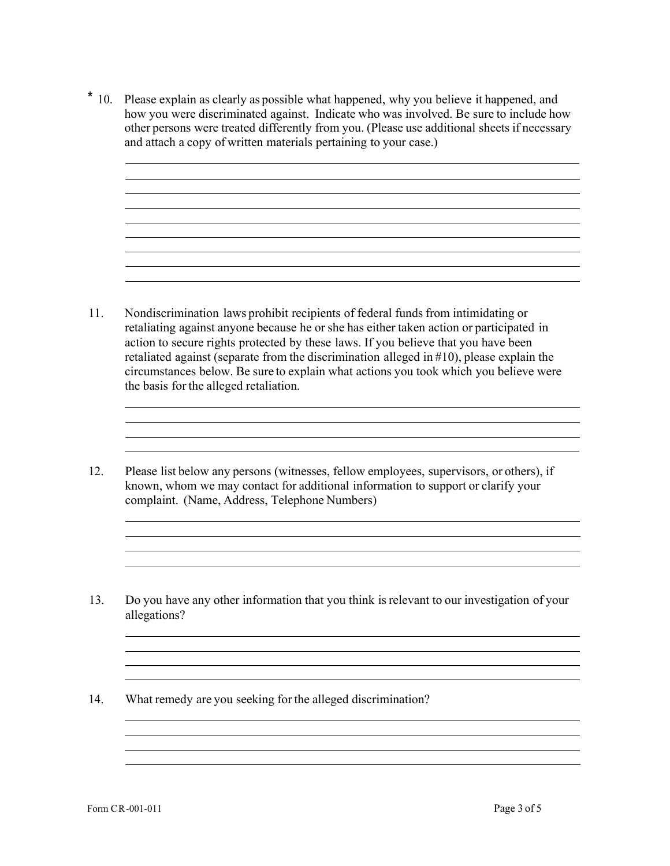\* 10. Please explain as clearly as possible what happened, why you believe it happened, and how you were discriminated against. Indicate who was involved. Be sure to include how other persons were treated differently from you. (Please use additional sheets if necessary and attach a copy of written materials pertaining to your case.)

- 11. Nondiscrimination laws prohibit recipients of federal funds from intimidating or retaliating against anyone because he or she has either taken action or participated in action to secure rights protected by these laws. If you believe that you have been retaliated against (separate from the discrimination alleged in #10), please explain the circumstances below. Be sure to explain what actions you took which you believe were the basis for the alleged retaliation.
- 12. Please list below any persons (witnesses, fellow employees, supervisors, or others), if known, whom we may contact for additional information to support or clarify your complaint. (Name, Address, Telephone Numbers)
- 13. Do you have any other information that you think is relevant to our investigation of your allegations?

the control of the control of the control of the control of the control of the control of the control of the control of the control of the control of the control of the control of the control of the control of the control <u> 1989 - Johann Stoff, amerikansk politiker († 1908)</u>

<u> 1989 - Andrea San Andrea San Andrea San Andrea San Andrea San Andrea San Andrea San Andrea San Andrea San An</u>

14. What remedy are you seeking for the alleged discrimination?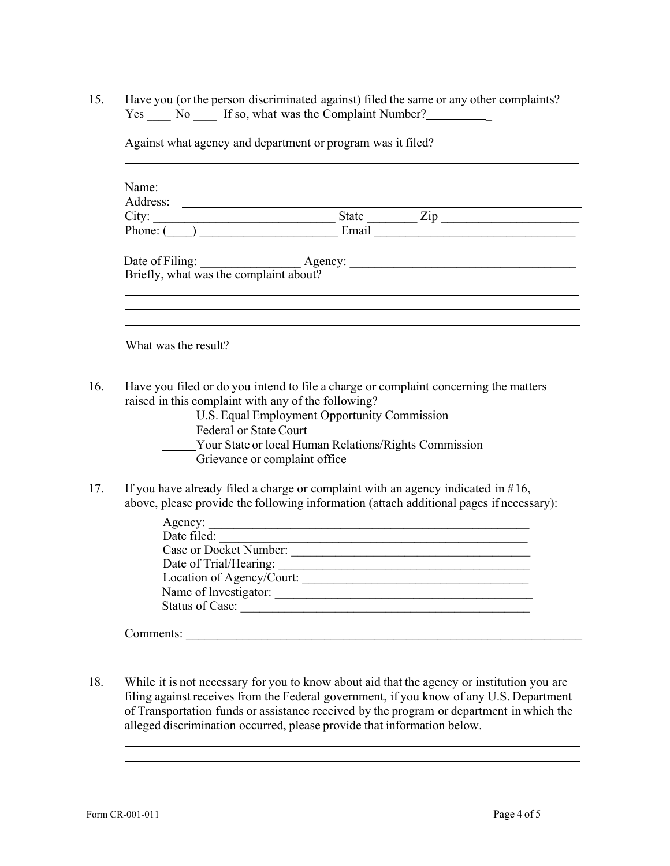15. Have you (or the person discriminated against) filed the same or any other complaints? Yes \_\_\_\_ No \_\_\_\_ If so, what was the Complaint Number? \_\_\_\_\_\_\_\_\_\_\_\_\_\_\_\_\_\_\_\_\_\_\_\_\_

| Name:                                               | <u> 1989 - Johann Stoff, fransk politik (f. 1989)</u>                                                           |
|-----------------------------------------------------|-----------------------------------------------------------------------------------------------------------------|
|                                                     |                                                                                                                 |
|                                                     |                                                                                                                 |
|                                                     |                                                                                                                 |
|                                                     |                                                                                                                 |
|                                                     | Date of Filing: <u>Agency:</u> Agency: <u>Agency: example of Filing: Briefly, what was the complaint about?</u> |
|                                                     | ,我们也不会有什么。""我们的人,我们也不会有什么?""我们的人,我们也不会有什么?""我们的人,我们也不会有什么?""我们的人,我们也不会有什么?""我们的人                                |
|                                                     |                                                                                                                 |
|                                                     |                                                                                                                 |
|                                                     |                                                                                                                 |
| What was the result?                                |                                                                                                                 |
|                                                     |                                                                                                                 |
|                                                     |                                                                                                                 |
|                                                     |                                                                                                                 |
|                                                     | Have you filed or do you intend to file a charge or complaint concerning the matters                            |
| raised in this complaint with any of the following? |                                                                                                                 |
|                                                     | U.S. Equal Employment Opportunity Commission                                                                    |
| <b>Federal or State Court</b>                       |                                                                                                                 |
|                                                     | Your State or local Human Relations/Rights Commission                                                           |
|                                                     | Grievance or complaint office                                                                                   |
|                                                     |                                                                                                                 |
|                                                     | If you have already filed a charge or complaint with an agency indicated in $#16$ ,                             |
|                                                     | above, please provide the following information (attach additional pages if necessary):                         |
| Date filed:                                         | Agency:                                                                                                         |

Against what agency and department or program was it filed?

| Date filed:               |
|---------------------------|
| Case or Docket Number:    |
| Date of Trial/Hearing:    |
| Location of Agency/Court: |
| Name of Investigator:     |
| Status of Case:           |
|                           |
| Comments:                 |

18. While it is not necessary for you to know about aid that the agency or institution you are filing against receives from the Federal government, if you know of any U.S. Department of Transportation funds or assistance received by the program or department in which the alleged discrimination occurred, please provide that information below.